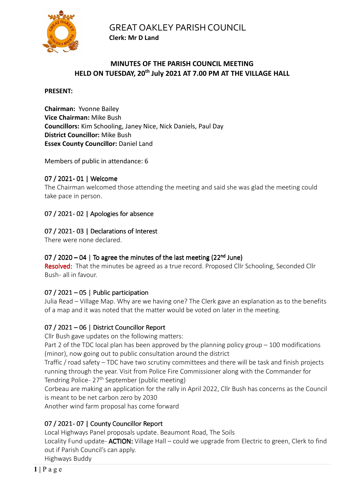

# **MINUTES OF THE PARISH COUNCIL MEETING HELD ON TUESDAY, 20th July 2021 AT 7.00 PM AT THE VILLAGE HALL**

#### **PRESENT:**

**Chairman:** Yvonne Bailey **Vice Chairman:** Mike Bush **Councillors:** Kim Schooling, Janey Nice, Nick Daniels, Paul Day **District Councillor:** Mike Bush **Essex County Councillor:** Daniel Land

Members of public in attendance: 6

## 07 / 2021- 01 | Welcome

The Chairman welcomed those attending the meeting and said she was glad the meeting could take pace in person.

# 07 / 2021-02 | Apologies for absence

# 07 / 2021-03 | Declarations of Interest

There were none declared.

## 07 / 2020 – 04 | To agree the minutes of the last meeting (22<sup>nd</sup> June)

Resolved: That the minutes be agreed as a true record. Proposed Cllr Schooling, Seconded Cllr Bush- all in favour.

## 07 / 2021 – 05 | Public participation

Julia Read – Village Map. Why are we having one? The Clerk gave an explanation as to the benefits of a map and it was noted that the matter would be voted on later in the meeting.

## 07 / 2021 – 06 | District Councillor Report

Cllr Bush gave updates on the following matters:

Part 2 of the TDC local plan has been approved by the planning policy group – 100 modifications (minor), now going out to public consultation around the district

Traffic / road safety – TDC have two scrutiny committees and there will be task and finish projects running through the year. Visit from Police Fire Commissioner along with the Commander for Tendring Police - 27<sup>th</sup> September (public meeting)

Corbeau are making an application for the rally in April 2022, Cllr Bush has concerns as the Council is meant to be net carbon zero by 2030

Another wind farm proposal has come forward

# 07 / 2021-07 | County Councillor Report

Local Highways Panel proposals update. Beaumont Road, The Soils Locality Fund update- **ACTION:** Village Hall – could we upgrade from Electric to green, Clerk to find out if Parish Council's can apply.

Highways Buddy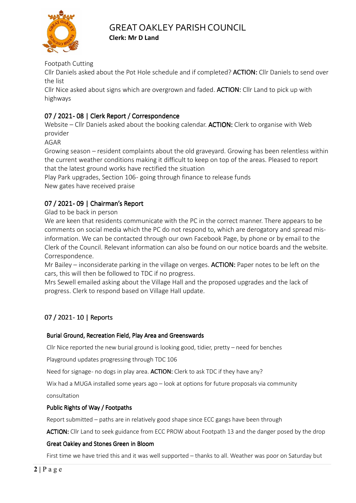

Footpath Cutting

Cllr Daniels asked about the Pot Hole schedule and if completed? **ACTION:** Cllr Daniels to send over the list

Cllr Nice asked about signs which are overgrown and faded. **ACTION:** Cllr Land to pick up with highways

# 07 / 2021 - 08 | Clerk Report / Correspondence

Website – Cllr Daniels asked about the booking calendar. **ACTION:** Clerk to organise with Web provider

AGAR

Growing season – resident complaints about the old graveyard. Growing has been relentless within the current weather conditions making it difficult to keep on top of the areas. Pleased to report that the latest ground works have rectified the situation

Play Park upgrades, Section 106 - going through finance to release funds New gates have received praise

# 07 / 2021- 09 | Chairman's Report

Glad to be back in person

We are keen that residents communicate with the PC in the correct manner. There appears to be comments on social media which the PC do not respond to, which are derogatory and spread misinformation. We can be contacted through our own Facebook Page, by phone or by email to the Clerk of the Council. Relevant information can also be found on our notice boards and the website. Correspondence.

Mr Bailey – inconsiderate parking in the village on verges. ACTION: Paper notes to be left on the cars, this will then be followed to TDC if no progress.

Mrs Sewell emailed asking about the Village Hall and the proposed upgrades and the lack of progress. Clerk to respond based on Village Hall update.

# 07 / 2021- 10 | Reports

## Burial Ground, Recreation Field, Play Area and Greenswards

Cllr Nice reported the new burial ground is looking good, tidier, pretty – need for benches

Playground updates progressing through TDC 106

Need for signage- no dogs in play area. **ACTION:** Clerk to ask TDC if they have any?

Wix had a MUGA installed some years ago – look at options for future proposals via community

consultation

## Public Rights of Way / Footpaths

Report submitted – paths are in relatively good shape since ECC gangs have been through

ACTION: Cllr Land to seek guidance from ECC PROW about Footpath 13 and the danger posed by the drop

## Great Oakley and Stones Green in Bloom in Bloom

First time we have tried this and it was well supported – thanks to all. Weather was poor on Saturday but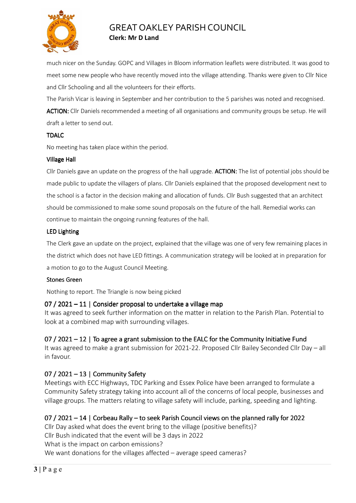

much nicer on the Sunday. GOPC and Villages in Bloom information leaflets were distributed. It was good to meet some new people who have recently moved into the village attending. Thanks were given to Cllr Nice and Cllr Schooling and all the volunteers for their efforts.

The Parish Vicar is leaving in September and her contribution to the 5 parishes was noted and recognised.

ACTION: Cllr Daniels recommended a meeting of all organisations and community groups be setup. He will draft a letter to send out.

#### TDALC

No meeting has taken place within the period.

#### Village Hall

Cllr Daniels gave an update on the progress of the hall upgrade. **ACTION:** The list of potential jobs should be made public to update the villagers of plans. Cllr Daniels explained that the proposed development next to the school is a factor in the decision making and allocation of funds. Cllr Bush suggested that an architect should be commissioned to make some sound proposals on the future of the hall. Remedial works can continue to maintain the ongoing running features of the hall.

#### LED Lighting

The Clerk gave an update on the project, explained that the village was one of very few remaining places in the district which does not have LED fittings. A communication strategy will be looked at in preparation for a motion to go to the August Council Meeting.

#### Stones Green

Nothing to report. The Triangle is now being picked

## 07 / 2021 – 11 | Consider proposal to undertake a village map

It was agreed to seek further information on the matter in relation to the Parish Plan. Potential to look at a combined map with surrounding villages.

# 07 / 2021 – 12 | To agree a grant submission to the EALC for the Community Initiative Fund

It was agreed to make a grant submission for 2021-22. Proposed Cllr Bailey Seconded Cllr Day – all in favour.

# 07 / 2021 – 13 | Community Safety

Meetings with ECC Highways, TDC Parking and Essex Police have been arranged to formulate a Community Safety strategy taking into account all of the concerns of local people, businesses and village groups. The matters relating to village safety will include, parking, speeding and lighting.

# 07 / 2021 – 14 | Corbeau Rally – to seek Parish Council views on the planned rally for 2022

Cllr Day asked what does the event bring to the village (positive benefits)? Cllr Bush indicated that the event will be 3 days in 2022 What is the impact on carbon emissions? We want donations for the villages affected – average speed cameras?